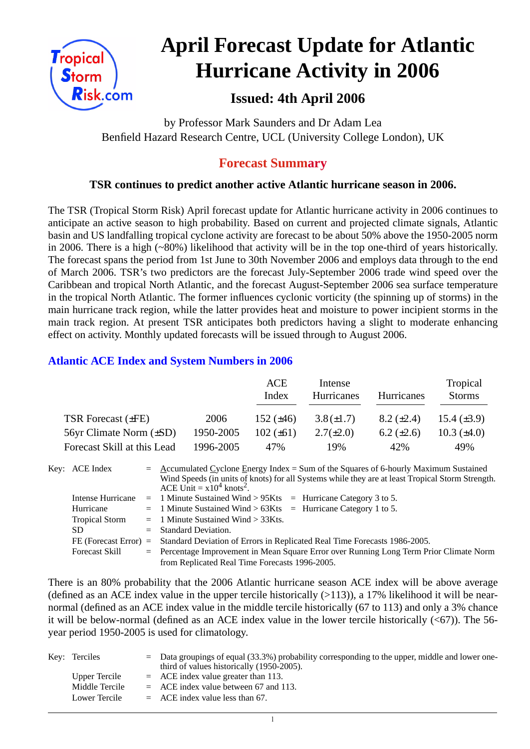

# **April Forecast Update for Atlantic Hurricane Activity in 2006**

# **Issued: 4th April 2006**

by Professor Mark Saunders and Dr Adam Lea Benfield Hazard Research Centre, UCL (University College London), UK

## **Forecast Summary**

#### **TSR continues to predict another active Atlantic hurricane season in 2006.**

The TSR (Tropical Storm Risk) April forecast update for Atlantic hurricane activity in 2006 continues to anticipate an active season to high probability. Based on current and projected climate signals, Atlantic basin and US landfalling tropical cyclone activity are forecast to be about 50% above the 1950-2005 norm in 2006. There is a high (~80%) likelihood that activity will be in the top one-third of years historically. The forecast spans the period from 1st June to 30th November 2006 and employs data through to the end of March 2006. TSR's two predictors are the forecast July-September 2006 trade wind speed over the Caribbean and tropical North Atlantic, and the forecast August-September 2006 sea surface temperature in the tropical North Atlantic. The former influences cyclonic vorticity (the spinning up of storms) in the main hurricane track region, while the latter provides heat and moisture to power incipient storms in the main track region. At present TSR anticipates both predictors having a slight to moderate enhancing effect on activity. Monthly updated forecasts will be issued through to August 2006.

#### **Atlantic ACE Index and System Numbers in 2006**

|                              |           | ACE<br>Index   | Intense<br>Hurricanes | Hurricanes        | Tropical<br><b>Storms</b> |
|------------------------------|-----------|----------------|-----------------------|-------------------|---------------------------|
| TSR Forecast $(\pm FE)$      | 2006      | 152 $(\pm 46)$ | $3.8(\pm 1.7)$        | $8.2 \ (\pm 2.4)$ | 15.4 $(\pm 3.9)$          |
| 56yr Climate Norm $(\pm SD)$ | 1950-2005 | $102 (\pm 61)$ | $2.7(\pm 2.0)$        | 6.2 $(\pm 2.6)$   | 10.3 $(\pm 4.0)$          |
| Forecast Skill at this Lead  | 1996-2005 | 47%            | 19%                   | 42%               | 49%                       |

| Key: ACE Index           | $=$ Accumulated Cyclone Energy Index = Sum of the Squares of 6-hourly Maximum Sustained<br>Wind Speeds (in units of knots) for all Systems while they are at least Tropical Storm Strength.<br>ACE Unit = $x10^4$ knots <sup>2</sup> . |
|--------------------------|----------------------------------------------------------------------------------------------------------------------------------------------------------------------------------------------------------------------------------------|
| <b>Intense Hurricane</b> | $=$ 1 Minute Sustained Wind > 95Kts $=$ Hurricane Category 3 to 5.                                                                                                                                                                     |
| Hurricane                | $=$ 1 Minute Sustained Wind > 63Kts $=$ Hurricane Category 1 to 5.                                                                                                                                                                     |
| <b>Tropical Storm</b>    | $=$ 1 Minute Sustained Wind $>$ 33Kts.                                                                                                                                                                                                 |
| SD.                      | $=$ Standard Deviation.                                                                                                                                                                                                                |
|                          | FE (Forecast Error) = Standard Deviation of Errors in Replicated Real Time Forecasts 1986-2005.                                                                                                                                        |
| <b>Forecast Skill</b>    | = Percentage Improvement in Mean Square Error over Running Long Term Prior Climate Norm                                                                                                                                                |
|                          | from Replicated Real Time Forecasts 1996-2005.                                                                                                                                                                                         |

There is an 80% probability that the 2006 Atlantic hurricane season ACE index will be above average (defined as an ACE index value in the upper tercile historically  $(>113)$ ), a 17% likelihood it will be nearnormal (defined as an ACE index value in the middle tercile historically (67 to 113) and only a 3% chance it will be below-normal (defined as an ACE index value in the lower tercile historically  $( $67$ )$ ). The 56year period 1950-2005 is used for climatology.

| Key: Terciles  | $=$ Data groupings of equal (33.3%) probability corresponding to the upper, middle and lower one-<br>third of values historically (1950-2005). |
|----------------|------------------------------------------------------------------------------------------------------------------------------------------------|
| Upper Tercile  | $=$ ACE index value greater than 113.                                                                                                          |
| Middle Tercile | $=$ ACE index value between 67 and 113.                                                                                                        |
| Lower Tercile  | $=$ ACE index value less than 67.                                                                                                              |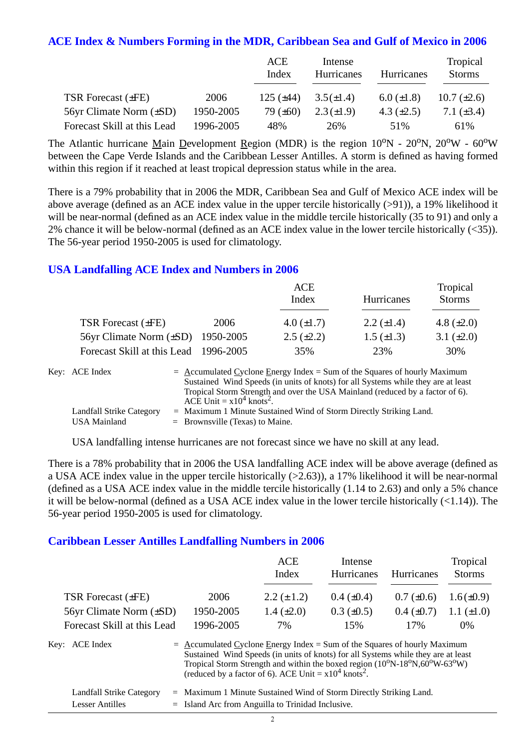#### **ACE Index & Numbers Forming in the MDR, Caribbean Sea and Gulf of Mexico in 2006**

|                              |           | ACE<br>Index   | Intense<br>Hurricanes | <b>Hurricanes</b> | Tropical<br><b>Storms</b> |
|------------------------------|-----------|----------------|-----------------------|-------------------|---------------------------|
| <b>TSR Forecast (±FE)</b>    | 2006      | 125 $(\pm 44)$ | $3.5(\pm 1.4)$        | $6.0 \ (\pm 1.8)$ | 10.7 $(\pm 2.6)$          |
| 56yr Climate Norm $(\pm SD)$ | 1950-2005 | 79 $(\pm 60)$  | $2.3(\pm 1.9)$        | 4.3 $(\pm 2.5)$   | 7.1 $(\pm 3.4)$           |
| Forecast Skill at this Lead  | 1996-2005 | 48%            | 26%                   | 51%               | 61\%                      |

The Atlantic hurricane Main Development Region (MDR) is the region  $10^{\circ}N - 20^{\circ}N$ ,  $20^{\circ}W - 60^{\circ}W$ between the Cape Verde Islands and the Caribbean Lesser Antilles. A storm is defined as having formed within this region if it reached at least tropical depression status while in the area.

There is a 79% probability that in 2006 the MDR, Caribbean Sea and Gulf of Mexico ACE index will be above average (defined as an ACE index value in the upper tercile historically (>91)), a 19% likelihood it will be near-normal (defined as an ACE index value in the middle tercile historically (35 to 91) and only a 2% chance it will be below-normal (defined as an ACE index value in the lower tercile historically (<35)). The 56-year period 1950-2005 is used for climatology.

#### **USA Landfalling ACE Index and Numbers in 2006**

|                                        |      | ACE<br>Index      | Hurricanes        | Tropical<br><b>Storms</b> |
|----------------------------------------|------|-------------------|-------------------|---------------------------|
| TSR Forecast (±FE)                     | 2006 | 4.0 $(\pm 1.7)$   | 2.2 $(\pm 1.4)$   | 4.8 $(\pm 2.0)$           |
| 56yr Climate Norm $(\pm SD)$ 1950-2005 |      | $2.5 \ (\pm 2.2)$ | $1.5 \ (\pm 1.3)$ | 3.1 $(\pm 2.0)$           |
| Forecast Skill at this Lead 1996-2005  |      | 35%               | 23%               | 30%                       |

| Key: ACE Index           | $=$ Accumulated Cyclone Energy Index = Sum of the Squares of hourly Maximum       |
|--------------------------|-----------------------------------------------------------------------------------|
|                          | Sustained Wind Speeds (in units of knots) for all Systems while they are at least |
|                          | Tropical Storm Strength and over the USA Mainland (reduced by a factor of 6).     |
|                          | ACE Unit = $x10^4$ knots <sup>2</sup> .                                           |
| Landfall Strike Category | $=$ Maximum 1 Minute Sustained Wind of Storm Directly Striking Land.              |
| USA Mainland             | $=$ Brownsville (Texas) to Maine.                                                 |

USA landfalling intense hurricanes are not forecast since we have no skill at any lead.

There is a 78% probability that in 2006 the USA landfalling ACE index will be above average (defined as a USA ACE index value in the upper tercile historically (>2.63)), a 17% likelihood it will be near-normal (defined as a USA ACE index value in the middle tercile historically (1.14 to 2.63) and only a 5% chance it will be below-normal (defined as a USA ACE index value in the lower tercile historically (<1.14)). The 56-year period 1950-2005 is used for climatology.

#### **Caribbean Lesser Antilles Landfalling Numbers in 2006**

|                                |                                                                             | <b>ACE</b><br>Index                                                                                                                                                                                                                          | Intense<br>Hurricanes | Hurricanes      | Tropical<br><b>Storms</b> |
|--------------------------------|-----------------------------------------------------------------------------|----------------------------------------------------------------------------------------------------------------------------------------------------------------------------------------------------------------------------------------------|-----------------------|-----------------|---------------------------|
| TSR Forecast (±FE)             | 2006                                                                        | $2.2 (\pm 1.2)$                                                                                                                                                                                                                              | $0.4~(\pm 0.4)$       | $0.7 (\pm 0.6)$ | $1.6(\pm 0.9)$            |
| $56yr$ Climate Norm $(\pm SD)$ | 1950-2005                                                                   | 1.4 $(\pm 2.0)$                                                                                                                                                                                                                              | $0.3 \ (\pm 0.5)$     | $0.4~(\pm 0.7)$ | 1.1 $(\pm 1.0)$           |
| Forecast Skill at this Lead    | 1996-2005                                                                   | 7%                                                                                                                                                                                                                                           | 15%                   | 17%             | $0\%$                     |
| Key: ACE Index                 | $=$ Accumulated Cyclone Energy Index = Sum of the Squares of hourly Maximum | Sustained Wind Speeds (in units of knots) for all Systems while they are at least<br>Tropical Storm Strength and within the boxed region $(10^0N-18^0N, 60^0W-63^0W)$<br>(reduced by a factor of 6). ACE Unit = $x10^4$ knots <sup>2</sup> . |                       |                 |                           |
| Landfall Strike Category       | $=$ Maximum 1 Minute Sustained Wind of Storm Directly Striking Land.        |                                                                                                                                                                                                                                              |                       |                 |                           |

Lesser Antilles  $=$  Island Arc from Anguilla to Trinidad Inclusive.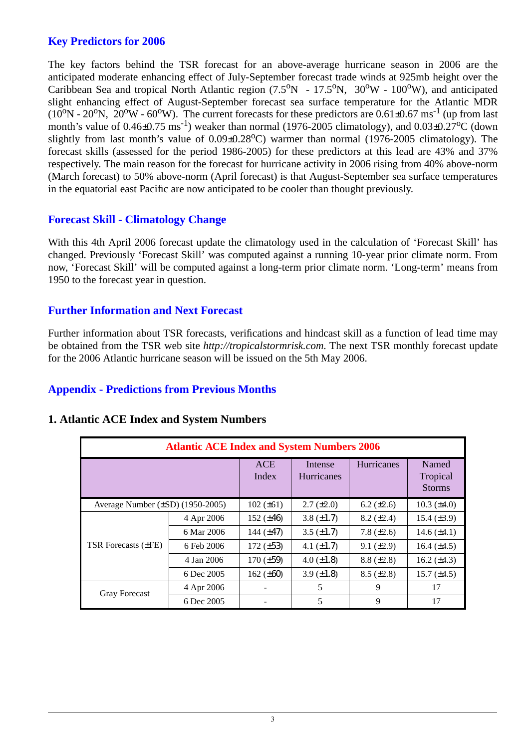#### **Key Predictors for 2006**

The key factors behind the TSR forecast for an above-average hurricane season in 2006 are the anticipated moderate enhancing effect of July-September forecast trade winds at 925mb height over the Caribbean Sea and tropical North Atlantic region  $(7.5^{\circ}N - 17.5^{\circ}N, 30^{\circ}W - 100^{\circ}W)$ , and anticipated slight enhancing effect of August-September forecast sea surface temperature for the Atlantic MDR  $(10^{\circ}N - 20^{\circ}N, 20^{\circ}W - 60^{\circ}W)$ . The current forecasts for these predictors are  $0.61\pm0.67$  ms<sup>-1</sup> (up from last month's value of  $0.46\pm0.75 \text{ ms}^{-1}$ ) weaker than normal (1976-2005 climatology), and  $0.03\pm0.27^{\circ}$ C (down slightly from last month's value of  $0.09\pm0.28^{\circ}$ C) warmer than normal (1976-2005 climatology). The forecast skills (assessed for the period 1986-2005) for these predictors at this lead are 43% and 37% respectively. The main reason for the forecast for hurricane activity in 2006 rising from 40% above-norm (March forecast) to 50% above-norm (April forecast) is that August-September sea surface temperatures in the equatorial east Pacific are now anticipated to be cooler than thought previously.

#### **Forecast Skill - Climatology Change**

With this 4th April 2006 forecast update the climatology used in the calculation of 'Forecast Skill' has changed. Previously 'Forecast Skill' was computed against a running 10-year prior climate norm. From now, 'Forecast Skill' will be computed against a long-term prior climate norm. 'Long-term' means from 1950 to the forecast year in question.

#### **Further Information and Next Forecast**

Further information about TSR forecasts, verifications and hindcast skill as a function of lead time may be obtained from the TSR web site *http://tropicalstormrisk.com*. The next TSR monthly forecast update for the 2006 Atlantic hurricane season will be issued on the 5th May 2006.

#### **Appendix - Predictions from Previous Months**

|                                       | <b>Atlantic ACE Index and System Numbers 2006</b> |                     |                              |                   |                                    |
|---------------------------------------|---------------------------------------------------|---------------------|------------------------------|-------------------|------------------------------------|
|                                       |                                                   | <b>ACE</b><br>Index | Intense<br><b>Hurricanes</b> | <b>Hurricanes</b> | Named<br>Tropical<br><b>Storms</b> |
| Average Number $(\pm SD)$ (1950-2005) |                                                   | $102 (\pm 61)$      | $2.7 \ (\pm 2.0)$            | $6.2 (\pm 2.6)$   | $10.3 \ (\pm 4.0)$                 |
|                                       | 4 Apr 2006                                        | 152 $(\pm 46)$      | $3.8 \ (\pm 1.7)$            | $8.2 (\pm 2.4)$   | 15.4 $(\pm 3.9)$                   |
|                                       | 6 Mar 2006                                        | 144 $(\pm 47)$      | $3.5 \ (\pm 1.7)$            | 7.8 $(\pm 2.6)$   | $14.6 (\pm 4.1)$                   |
| <b>TSR Forecasts (±FE)</b>            | 6 Feb 2006                                        | $172 (\pm 53)$      | 4.1 $(\pm 1.7)$              | $9.1 (\pm 2.9)$   | 16.4 $(\pm 4.5)$                   |
|                                       | 4 Jan 2006                                        | $170 (\pm 59)$      | 4.0 $(\pm 1.8)$              | $8.8 (\pm 2.8)$   | 16.2 $(\pm 4.3)$                   |
|                                       | 6 Dec 2005                                        | 162 $(\pm 60)$      | $3.9 \ (\pm 1.8)$            | $8.5 (\pm 2.8)$   | 15.7 $(\pm 4.5)$                   |
| <b>Gray Forecast</b>                  | 4 Apr 2006                                        |                     | 5                            | 9                 | 17                                 |
|                                       | 6 Dec 2005                                        |                     | 5                            | 9                 | 17                                 |

#### **1. Atlantic ACE Index and System Numbers**